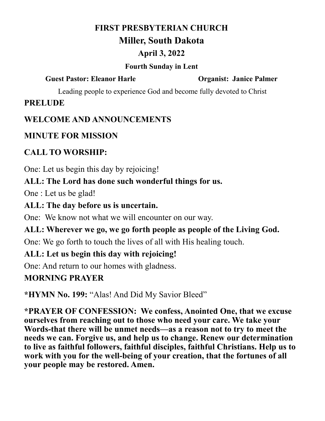## **FIRST PRESBYTERIAN CHURCH**

## **Miller, South Dakota**

## **April 3, 2022**

### **Fourth Sunday in Lent**

### **Guest Pastor: Eleanor Harle Organist: Janice Palmer**

Leading people to experience God and become fully devoted to Christ

# **PRELUDE**

# **WELCOME AND ANNOUNCEMENTS**

# **MINUTE FOR MISSION**

# **CALL TO WORSHIP:**

One: Let us begin this day by rejoicing!

# **ALL: The Lord has done such wonderful things for us.**

One : Let us be glad!

# **ALL: The day before us is uncertain.**

One: We know not what we will encounter on our way.

# **ALL: Wherever we go, we go forth people as people of the Living God.**

One: We go forth to touch the lives of all with His healing touch.

# **ALL: Let us begin this day with rejoicing!**

One: And return to our homes with gladness.

# **MORNING PRAYER**

**\*HYMN No. 199:** "Alas! And Did My Savior Bleed"

**\*PRAYER OF CONFESSION: We confess, Anointed One, that we excuse ourselves from reaching out to those who need your care. We take your Words-that there will be unmet needs—as a reason not to try to meet the needs we can. Forgive us, and help us to change. Renew our determination to live as faithful followers, faithful disciples, faithful Christians. Help us to work with you for the well-being of your creation, that the fortunes of all your people may be restored. Amen.**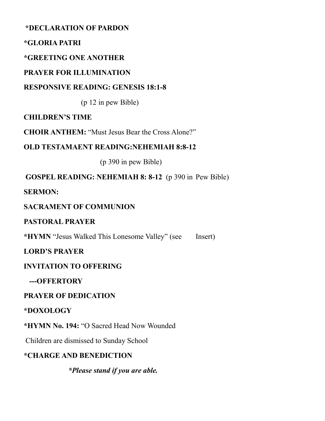**\*DECLARATION OF PARDON**

#### **\*GLORIA PATRI**

### **\*GREETING ONE ANOTHER**

### **PRAYER FOR ILLUMINATION**

### **RESPONSIVE READING: GENESIS 18:1-8**

(p 12 in pew Bible)

### **CHILDREN'S TIME**

**CHOIR ANTHEM:** "Must Jesus Bear the Cross Alone?"

### **OLD TESTAMAENT READING:NEHEMIAH 8:8-12**

(p 390 in pew Bible)

**GOSPEL READING: NEHEMIAH 8: 8-12** (p 390 in Pew Bible)

**SERMON:** 

### **SACRAMENT OF COMMUNION**

### **PASTORAL PRAYER**

**\*HYMN** "Jesus Walked This Lonesome Valley" (see Insert)

### **LORD'S PRAYER**

### **INVITATION TO OFFERING**

 **---OFFERTORY**

### **PRAYER OF DEDICATION**

### **\*DOXOLOGY**

**\*HYMN No. 194:** "O Sacred Head Now Wounded

Children are dismissed to Sunday School

### **\*CHARGE AND BENEDICTION**

 *\*Please stand if you are able.*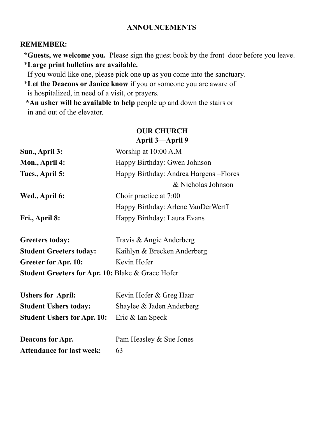#### **ANNOUNCEMENTS**

#### **REMEMBER:**

 **\*Guests, we welcome you.** Please sign the guest book by the front door before you leave. \***Large print bulletins are available.** 

If you would like one, please pick one up as you come into the sanctuary.

 \***Let the Deacons or Janice know** if you or someone you are aware of is hospitalized, in need of a visit, or prayers.

 **\*An usher will be available to help** people up and down the stairs or in and out of the elevator.

#### **OUR CHURCH April 3—April 9**

| Sun., April 3:                                               | Worship at 10:00 A.M                    |  |
|--------------------------------------------------------------|-----------------------------------------|--|
| Mon., April 4:                                               | Happy Birthday: Gwen Johnson            |  |
| Tues., April 5:                                              | Happy Birthday: Andrea Hargens - Flores |  |
|                                                              | & Nicholas Johnson                      |  |
| Wed., April 6:                                               | Choir practice at 7:00                  |  |
|                                                              | Happy Birthday: Arlene VanDerWerff      |  |
| Fri., April 8:                                               | Happy Birthday: Laura Evans             |  |
| <b>Greeters today:</b>                                       | Travis & Angie Anderberg                |  |
| <b>Student Greeters today:</b>                               | Kaihlyn & Brecken Anderberg             |  |
| <b>Greeter for Apr. 10:</b>                                  | Kevin Hofer                             |  |
| <b>Student Greeters for Apr. 10: Blake &amp; Grace Hofer</b> |                                         |  |
| <b>Ushers for April:</b>                                     | Kevin Hofer & Greg Haar                 |  |
| <b>Student Ushers today:</b>                                 | Shaylee & Jaden Anderberg               |  |
| <b>Student Ushers for Apr. 10:</b>                           | Eric & Ian Speck                        |  |
| <b>Deacons for Apr.</b>                                      | Pam Heasley & Sue Jones                 |  |
| <b>Attendance for last week:</b>                             | 63                                      |  |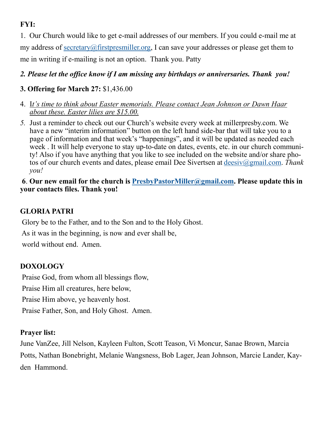## **FYI:**

1. Our Church would like to get e-mail addresses of our members. If you could e-mail me at my address of [secretary@firstpresmiller.org,](mailto:secretary@firstpresmiller.org) I can save your addresses or please get them to me in writing if e-mailing is not an option. Thank you. Patty

#### *2. Please let the office know if I am missing any birthdays or anniversaries. Thank you!*

### **3. Offering for March 27:** \$1,436.00

- 4. I*t's time to think about Easter memorials. Please contact Jean Johnson or Dawn Haar about these. Easter lilies are \$15.00.*
- *5.* Just a reminder to check out our Church's website every week at millerpresby.com. We have a new "interim information" button on the left hand side-bar that will take you to a page of information and that week's "happenings", and it will be updated as needed each week . It will help everyone to stay up-to-date on dates, events, etc. in our church community! Also if you have anything that you like to see included on the website and/or share photos of our church events and dates, please email Dee Sivertsen at [deesiv@gmail.com.](mailto:deesiv@gmail.com) *Thank you!*

#### **6**. **Our new email for the church is [PresbyPastorMiller@gmail.com.](mailto:PresbyPastorMiller@gmail.com) Please update this in your contacts files. Thank you!**

### **GLORIA PATRI**

Glory be to the Father, and to the Son and to the Holy Ghost.

As it was in the beginning, is now and ever shall be,

world without end. Amen.

### **DOXOLOGY**

Praise God, from whom all blessings flow, Praise Him all creatures, here below,

Praise Him above, ye heavenly host.

Praise Father, Son, and Holy Ghost. Amen.

#### **Prayer list:**

June VanZee, Jill Nelson, Kayleen Fulton, Scott Teason, Vi Moncur, Sanae Brown, Marcia Potts, Nathan Bonebright, Melanie Wangsness, Bob Lager, Jean Johnson, Marcie Lander, Kayden Hammond.